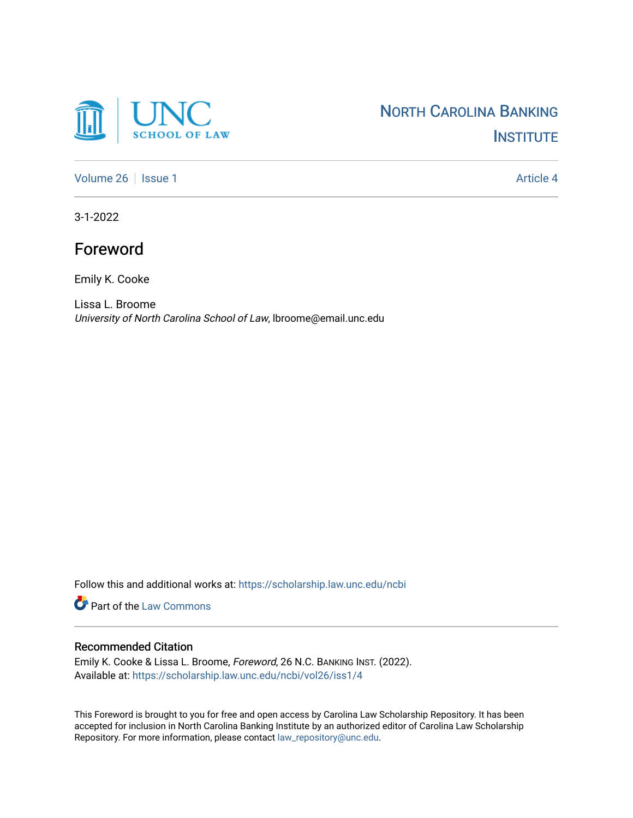

[Volume 26](https://scholarship.law.unc.edu/ncbi/vol26) | [Issue 1](https://scholarship.law.unc.edu/ncbi/vol26/iss1) Article 4

3-1-2022

## Foreword

Emily K. Cooke

Lissa L. Broome University of North Carolina School of Law, lbroome@email.unc.edu

Follow this and additional works at: [https://scholarship.law.unc.edu/ncbi](https://scholarship.law.unc.edu/ncbi?utm_source=scholarship.law.unc.edu%2Fncbi%2Fvol26%2Fiss1%2F4&utm_medium=PDF&utm_campaign=PDFCoverPages)

Part of the [Law Commons](https://network.bepress.com/hgg/discipline/578?utm_source=scholarship.law.unc.edu%2Fncbi%2Fvol26%2Fiss1%2F4&utm_medium=PDF&utm_campaign=PDFCoverPages)

## Recommended Citation

Emily K. Cooke & Lissa L. Broome, Foreword, 26 N.C. BANKING INST. (2022). Available at: [https://scholarship.law.unc.edu/ncbi/vol26/iss1/4](https://scholarship.law.unc.edu/ncbi/vol26/iss1/4?utm_source=scholarship.law.unc.edu%2Fncbi%2Fvol26%2Fiss1%2F4&utm_medium=PDF&utm_campaign=PDFCoverPages) 

This Foreword is brought to you for free and open access by Carolina Law Scholarship Repository. It has been accepted for inclusion in North Carolina Banking Institute by an authorized editor of Carolina Law Scholarship Repository. For more information, please contact [law\\_repository@unc.edu](mailto:law_repository@unc.edu).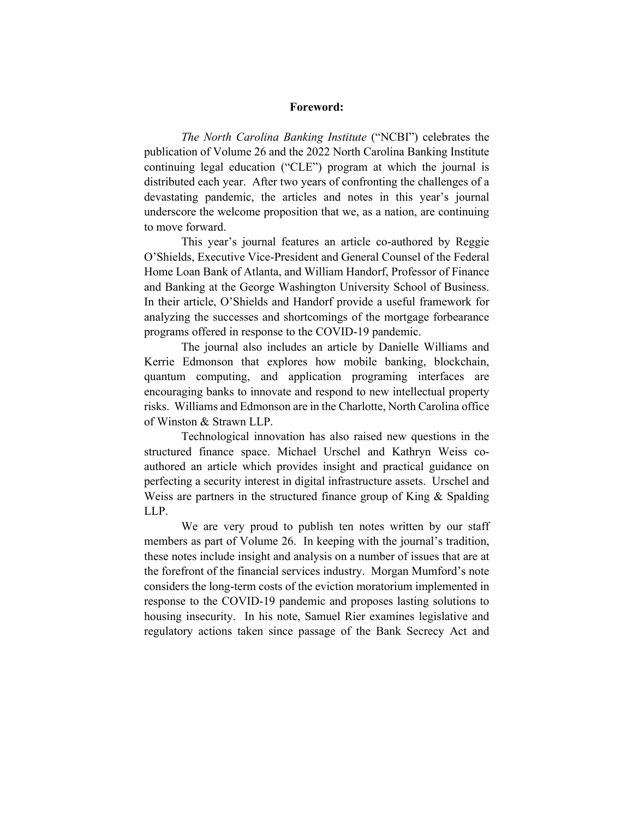## **Foreword:**

*The North Carolina Banking Institute* ("NCBI") celebrates the publication of Volume 26 and the 2022 North Carolina Banking Institute continuing legal education ("CLE") program at which the journal is distributed each year. After two years of confronting the challenges of a devastating pandemic, the articles and notes in this year's journal underscore the welcome proposition that we, as a nation, are continuing to move forward.

This year's journal features an article co-authored by Reggie O'Shields, Executive Vice-President and General Counsel of the Federal Home Loan Bank of Atlanta, and William Handorf, Professor of Finance and Banking at the George Washington University School of Business. In their article, O'Shields and Handorf provide a useful framework for analyzing the successes and shortcomings of the mortgage forbearance programs offered in response to the COVID-19 pandemic.

The journal also includes an article by Danielle Williams and Kerrie Edmonson that explores how mobile banking, blockchain, quantum computing, and application programing interfaces are encouraging banks to innovate and respond to new intellectual property risks. Williams and Edmonson are in the Charlotte, North Carolina office of Winston & Strawn LLP.

Technological innovation has also raised new questions in the structured finance space. Michael Urschel and Kathryn Weiss coauthored an article which provides insight and practical guidance on perfecting a security interest in digital infrastructure assets. Urschel and Weiss are partners in the structured finance group of King & Spalding LLP.

We are very proud to publish ten notes written by our staff members as part of Volume 26. In keeping with the journal's tradition, these notes include insight and analysis on a number of issues that are at the forefront of the financial services industry. Morgan Mumford's note considers the long-term costs of the eviction moratorium implemented in response to the COVID-19 pandemic and proposes lasting solutions to housing insecurity. In his note, Samuel Rier examines legislative and regulatory actions taken since passage of the Bank Secrecy Act and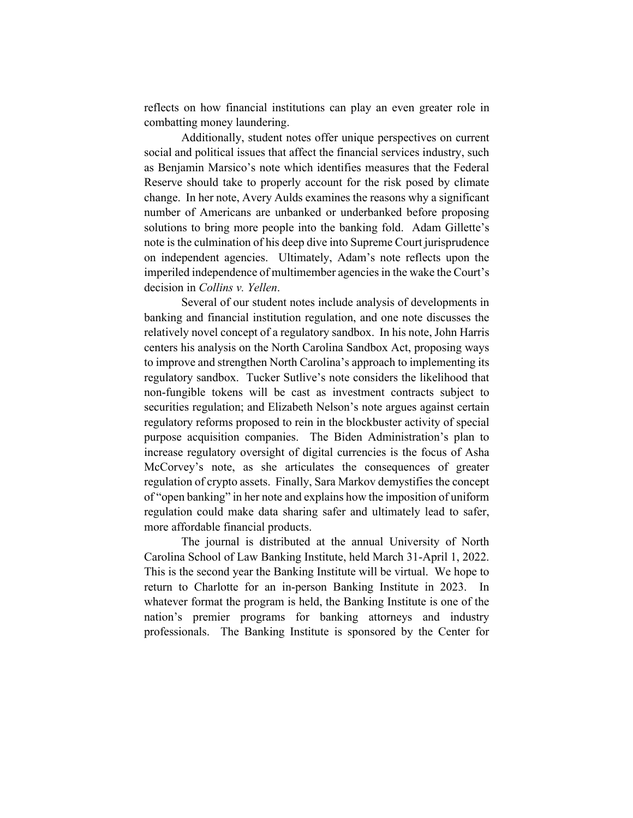reflects on how financial institutions can play an even greater role in combatting money laundering.

Additionally, student notes offer unique perspectives on current social and political issues that affect the financial services industry, such as Benjamin Marsico's note which identifies measures that the Federal Reserve should take to properly account for the risk posed by climate change. In her note, Avery Aulds examines the reasons why a significant number of Americans are unbanked or underbanked before proposing solutions to bring more people into the banking fold. Adam Gillette's note is the culmination of his deep dive into Supreme Court jurisprudence on independent agencies. Ultimately, Adam's note reflects upon the imperiled independence of multimember agencies in the wake the Court's decision in *Collins v. Yellen*.

Several of our student notes include analysis of developments in banking and financial institution regulation, and one note discusses the relatively novel concept of a regulatory sandbox. In his note, John Harris centers his analysis on the North Carolina Sandbox Act, proposing ways to improve and strengthen North Carolina's approach to implementing its regulatory sandbox. Tucker Sutlive's note considers the likelihood that non-fungible tokens will be cast as investment contracts subject to securities regulation; and Elizabeth Nelson's note argues against certain regulatory reforms proposed to rein in the blockbuster activity of special purpose acquisition companies. The Biden Administration's plan to increase regulatory oversight of digital currencies is the focus of Asha McCorvey's note, as she articulates the consequences of greater regulation of crypto assets. Finally, Sara Markov demystifies the concept of "open banking" in her note and explains how the imposition of uniform regulation could make data sharing safer and ultimately lead to safer, more affordable financial products.

The journal is distributed at the annual University of North Carolina School of Law Banking Institute, held March 31-April 1, 2022. This is the second year the Banking Institute will be virtual. We hope to return to Charlotte for an in-person Banking Institute in 2023. In whatever format the program is held, the Banking Institute is one of the nation's premier programs for banking attorneys and industry professionals. The Banking Institute is sponsored by the Center for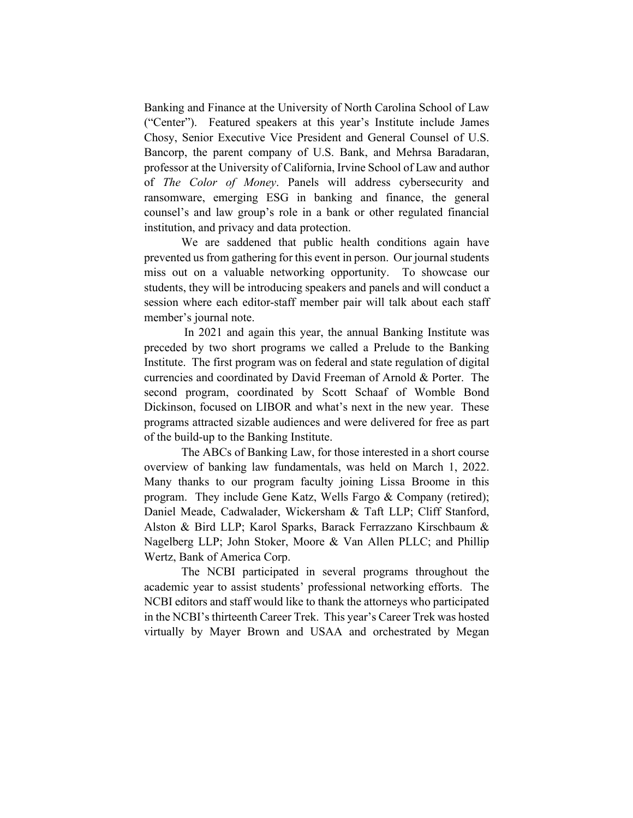Banking and Finance at the University of North Carolina School of Law ("Center"). Featured speakers at this year's Institute include James Chosy, Senior Executive Vice President and General Counsel of U.S. Bancorp, the parent company of U.S. Bank, and Mehrsa Baradaran, professor at the University of California, Irvine School of Law and author of *The Color of Money*. Panels will address cybersecurity and ransomware, emerging ESG in banking and finance, the general counsel's and law group's role in a bank or other regulated financial institution, and privacy and data protection.

We are saddened that public health conditions again have prevented us from gathering for this event in person. Our journal students miss out on a valuable networking opportunity. To showcase our students, they will be introducing speakers and panels and will conduct a session where each editor-staff member pair will talk about each staff member's journal note.

In 2021 and again this year, the annual Banking Institute was preceded by two short programs we called a Prelude to the Banking Institute. The first program was on federal and state regulation of digital currencies and coordinated by David Freeman of Arnold & Porter. The second program, coordinated by Scott Schaaf of Womble Bond Dickinson, focused on LIBOR and what's next in the new year. These programs attracted sizable audiences and were delivered for free as part of the build-up to the Banking Institute.

The ABCs of Banking Law, for those interested in a short course overview of banking law fundamentals, was held on March 1, 2022. Many thanks to our program faculty joining Lissa Broome in this program. They include Gene Katz, Wells Fargo & Company (retired); Daniel Meade, Cadwalader, Wickersham & Taft LLP; Cliff Stanford, Alston & Bird LLP; Karol Sparks, Barack Ferrazzano Kirschbaum & Nagelberg LLP; John Stoker, Moore & Van Allen PLLC; and Phillip Wertz, Bank of America Corp.

The NCBI participated in several programs throughout the academic year to assist students' professional networking efforts. The NCBI editors and staff would like to thank the attorneys who participated in the NCBI's thirteenth Career Trek. This year's Career Trek was hosted virtually by Mayer Brown and USAA and orchestrated by Megan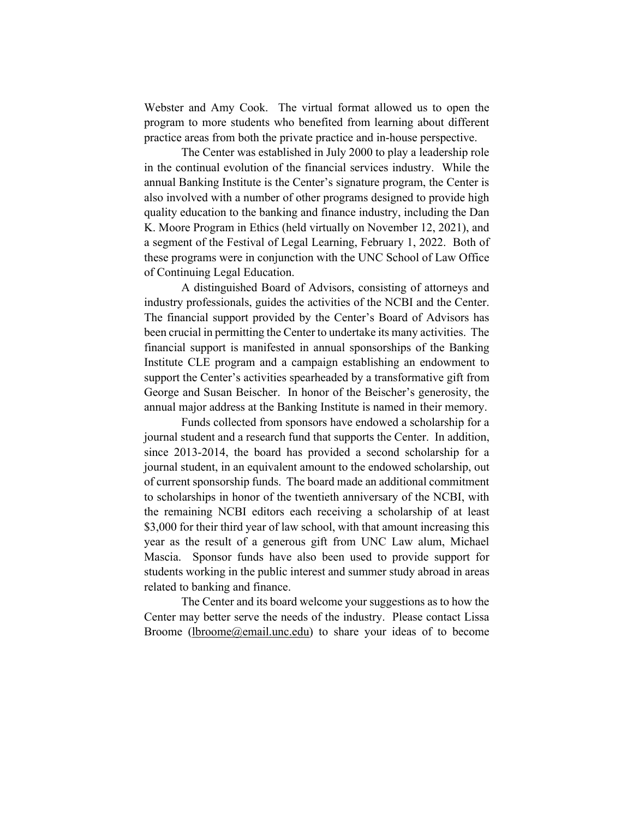Webster and Amy Cook. The virtual format allowed us to open the program to more students who benefited from learning about different practice areas from both the private practice and in-house perspective.

The Center was established in July 2000 to play a leadership role in the continual evolution of the financial services industry. While the annual Banking Institute is the Center's signature program, the Center is also involved with a number of other programs designed to provide high quality education to the banking and finance industry, including the Dan K. Moore Program in Ethics (held virtually on November 12, 2021), and a segment of the Festival of Legal Learning, February 1, 2022. Both of these programs were in conjunction with the UNC School of Law Office of Continuing Legal Education.

A distinguished Board of Advisors, consisting of attorneys and industry professionals, guides the activities of the NCBI and the Center. The financial support provided by the Center's Board of Advisors has been crucial in permitting the Center to undertake its many activities. The financial support is manifested in annual sponsorships of the Banking Institute CLE program and a campaign establishing an endowment to support the Center's activities spearheaded by a transformative gift from George and Susan Beischer. In honor of the Beischer's generosity, the annual major address at the Banking Institute is named in their memory.

Funds collected from sponsors have endowed a scholarship for a journal student and a research fund that supports the Center. In addition, since 2013-2014, the board has provided a second scholarship for a journal student, in an equivalent amount to the endowed scholarship, out of current sponsorship funds. The board made an additional commitment to scholarships in honor of the twentieth anniversary of the NCBI, with the remaining NCBI editors each receiving a scholarship of at least \$3,000 for their third year of law school, with that amount increasing this year as the result of a generous gift from UNC Law alum, Michael Mascia. Sponsor funds have also been used to provide support for students working in the public interest and summer study abroad in areas related to banking and finance.

The Center and its board welcome your suggestions as to how the Center may better serve the needs of the industry. Please contact Lissa Broome (lbroome@email.unc.edu) to share your ideas of to become